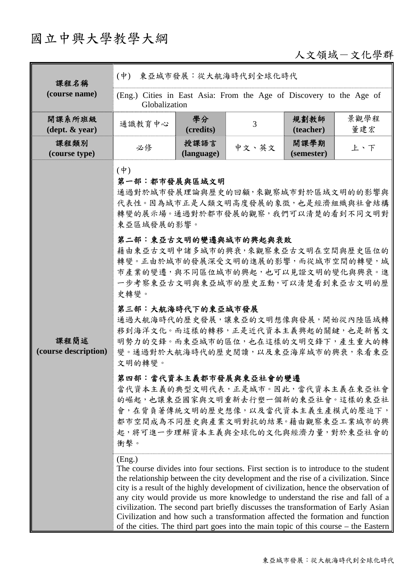# 國立中興大學教學大綱

人文領域-文化學群

| 課程名稱                                       | $(\dot{\Psi})$<br>東亞城市發展:從大航海時代到全球化時代                                                                                                                                                                                                                                                                                                                                                                                                                                                                                                                                                                                                                                                                                                                                                                                                                                                                                                                                                                                                                                                                                                                                                                                                                                                                                                                                                           |                    |                |                    |             |  |  |
|--------------------------------------------|-------------------------------------------------------------------------------------------------------------------------------------------------------------------------------------------------------------------------------------------------------------------------------------------------------------------------------------------------------------------------------------------------------------------------------------------------------------------------------------------------------------------------------------------------------------------------------------------------------------------------------------------------------------------------------------------------------------------------------------------------------------------------------------------------------------------------------------------------------------------------------------------------------------------------------------------------------------------------------------------------------------------------------------------------------------------------------------------------------------------------------------------------------------------------------------------------------------------------------------------------------------------------------------------------------------------------------------------------------------------------------------------------|--------------------|----------------|--------------------|-------------|--|--|
| (course name)                              | (Eng.) Cities in East Asia: From the Age of Discovery to the Age of<br>Globalization                                                                                                                                                                                                                                                                                                                                                                                                                                                                                                                                                                                                                                                                                                                                                                                                                                                                                                                                                                                                                                                                                                                                                                                                                                                                                                            |                    |                |                    |             |  |  |
| 開課系所班級<br>$(\text{dept.} \& \text{ year})$ | 通識教育中心                                                                                                                                                                                                                                                                                                                                                                                                                                                                                                                                                                                                                                                                                                                                                                                                                                                                                                                                                                                                                                                                                                                                                                                                                                                                                                                                                                                          | 學分<br>(credits)    | $\overline{3}$ | 規劃教師<br>(teacher)  | 景觀學程<br>董建宏 |  |  |
| 課程類別<br>(course type)                      | 必修                                                                                                                                                                                                                                                                                                                                                                                                                                                                                                                                                                                                                                                                                                                                                                                                                                                                                                                                                                                                                                                                                                                                                                                                                                                                                                                                                                                              | 授課語言<br>(language) | 中文、英文          | 開課學期<br>(semester) | 上、下         |  |  |
| 課程簡述<br>(course description)               | $(\dot{\Psi})$<br>第一部:都市發展與區域文明<br>通過對於城市發展理論與歷史的回顧,來觀察城市對於區域文明的的影響與<br>代表性。因為城市正是人類文明高度發展的象徵,也是經濟組織與社會結構<br>轉變的展示場。通過對於都市發展的觀察,我們可以清楚的看到不同文明對<br>東亞區域發展的影響。<br>第二部:東亞古文明的變遷與城市的興起與衰敗<br>藉由東亞古文明中諸多城市的興衰,來觀察東亞古文明在空間與歷史區位的<br>轉變。正由於城市的發展深受文明的進展的影響,而從城市空間的轉變,城<br>市產業的變遷,與不同區位城市的興起,也可以見證文明的變化與興衰。進<br>一步考察東亞古文明與東亞城市的歷史互動,可以清楚看到東亞古文明的歷<br>史轉變。<br>第三部:大航海時代下的東亞城市發展<br>通過大航海時代的歷史發展,讓東亞的文明想像與發展,開始從內陸區域轉<br>移到海洋文化。而這樣的轉移,正是近代資本主義興起的關鍵,也是新舊文<br>明勢力的交鋒。而東亞城市的區位,也在這樣的文明交鋒下,產生重大的轉<br>變。通過對於大航海時代的歷史閱讀,以及東亞海岸城市的興衰,來看東亞<br>文明的轉變。<br>第四部:當代資本主義都市發展與東亞社會的變遷<br>當代資本主義的典型文明代表,正是城市。因此,當代資本主義在東亞社會<br>的崛起,也讓東亞國家與文明重新去行塑一個新的東亞社會。這樣的東亞社<br>會,在背負著傳統文明的歷史想像,以及當代資本主義生產模式的壓迫下,<br>都市空間成為不同歷史與產業文明對抗的結果。藉由觀察東亞工業城市的興<br>起,將可進一步理解資本主義與全球化的文化與經濟力量,對於東亞社會的<br>衝擊。<br>(Eng.)<br>The course divides into four sections. First section is to introduce to the student<br>the relationship between the city development and the rise of a civilization. Since<br>city is a result of the highly development of civilization, hence the observation of<br>any city would provide us more knowledge to understand the rise and fall of a<br>civilization. The second part briefly discusses the transformation of Early Asian<br>Civilization and how such a transformation affected the formation and function<br>of the cities. The third part goes into the main topic of this course $-$ the Eastern |                    |                |                    |             |  |  |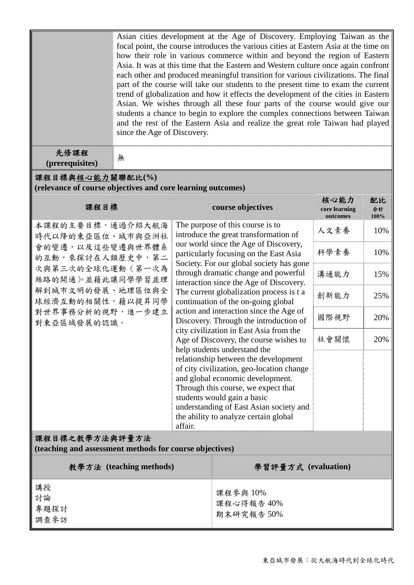|                                                                                                                                                                                                  | Asian cities development at the Age of Discovery. Employing Taiwan as the<br>focal point, the course introduces the various cities at Eastern Asia at the time on<br>how their role in various commerce within and beyond the region of Eastern<br>Asia. It was at this time that the Eastern and Western culture once again confront<br>each other and produced meaningful transition for various civilizations. The final<br>part of the course will take our students to the present time to exam the current<br>trend of globalization and how it effects the development of the cities in Eastern<br>Asian. We wishes through all these four parts of the course would give our<br>students a chance to begin to explore the complex connections between Taiwan<br>and the rest of the Eastern Asia and realize the great role Taiwan had played<br>since the Age of Discovery. |                                                                                                                                                                                                                                                                                                                                                                                                                                                                                                                                                                                                                                                                            |                                                                                                                             |      |                  |  |  |  |  |  |
|--------------------------------------------------------------------------------------------------------------------------------------------------------------------------------------------------|--------------------------------------------------------------------------------------------------------------------------------------------------------------------------------------------------------------------------------------------------------------------------------------------------------------------------------------------------------------------------------------------------------------------------------------------------------------------------------------------------------------------------------------------------------------------------------------------------------------------------------------------------------------------------------------------------------------------------------------------------------------------------------------------------------------------------------------------------------------------------------------|----------------------------------------------------------------------------------------------------------------------------------------------------------------------------------------------------------------------------------------------------------------------------------------------------------------------------------------------------------------------------------------------------------------------------------------------------------------------------------------------------------------------------------------------------------------------------------------------------------------------------------------------------------------------------|-----------------------------------------------------------------------------------------------------------------------------|------|------------------|--|--|--|--|--|
| 先修課程<br>(prerequisites)                                                                                                                                                                          | 無                                                                                                                                                                                                                                                                                                                                                                                                                                                                                                                                                                                                                                                                                                                                                                                                                                                                                    |                                                                                                                                                                                                                                                                                                                                                                                                                                                                                                                                                                                                                                                                            |                                                                                                                             |      |                  |  |  |  |  |  |
| 課程目標與核心能力關聯配比(%)<br>(relevance of course objectives and core learning outcomes)                                                                                                                  |                                                                                                                                                                                                                                                                                                                                                                                                                                                                                                                                                                                                                                                                                                                                                                                                                                                                                      |                                                                                                                                                                                                                                                                                                                                                                                                                                                                                                                                                                                                                                                                            |                                                                                                                             |      |                  |  |  |  |  |  |
| 課程目標                                                                                                                                                                                             |                                                                                                                                                                                                                                                                                                                                                                                                                                                                                                                                                                                                                                                                                                                                                                                                                                                                                      |                                                                                                                                                                                                                                                                                                                                                                                                                                                                                                                                                                                                                                                                            | course objectives                                                                                                           |      | 配比<br>合計<br>100% |  |  |  |  |  |
| 本課程的主要目標,通過介紹大航海<br>時代以降的東亞區位、城市與亞洲社<br>會的變遷,以及這些變遷與世界體系<br>的互動,來探討在人類歷史中,第二<br>次與第三次的全球化運動(第一次為<br>絲路的開通)。並藉此讓同學學習並理<br>解到城市文明的發展、地理區位與全<br>球經濟互動的相關性,藉以提昇同學<br>對世界事務分析的視野,進一步建立<br>對東亞區域發展的認識。 |                                                                                                                                                                                                                                                                                                                                                                                                                                                                                                                                                                                                                                                                                                                                                                                                                                                                                      | The purpose of this course is to<br>introduce the great transformation of                                                                                                                                                                                                                                                                                                                                                                                                                                                                                                                                                                                                  |                                                                                                                             | 人文素養 | 10%              |  |  |  |  |  |
|                                                                                                                                                                                                  |                                                                                                                                                                                                                                                                                                                                                                                                                                                                                                                                                                                                                                                                                                                                                                                                                                                                                      |                                                                                                                                                                                                                                                                                                                                                                                                                                                                                                                                                                                                                                                                            | our world since the Age of Discovery,<br>particularly focusing on the East Asia<br>Society. For our global society has gone | 科學素養 | 10%              |  |  |  |  |  |
|                                                                                                                                                                                                  |                                                                                                                                                                                                                                                                                                                                                                                                                                                                                                                                                                                                                                                                                                                                                                                                                                                                                      | through dramatic change and powerful<br>interaction since the Age of Discovery.<br>The current globalization process is t a<br>continuation of the on-going global<br>action and interaction since the Age of<br>Discovery. Through the introduction of<br>city civilization in East Asia from the<br>Age of Discovery, the course wishes to<br>help students understand the<br>relationship between the development<br>of city civilization, geo-location change<br>and global economic development.<br>Through this course, we expect that<br>students would gain a basic<br>understanding of East Asian society and<br>the ability to analyze certain global<br>affair. |                                                                                                                             | 溝通能力 | 15%              |  |  |  |  |  |
|                                                                                                                                                                                                  |                                                                                                                                                                                                                                                                                                                                                                                                                                                                                                                                                                                                                                                                                                                                                                                                                                                                                      |                                                                                                                                                                                                                                                                                                                                                                                                                                                                                                                                                                                                                                                                            |                                                                                                                             | 創新能力 | 25%              |  |  |  |  |  |
|                                                                                                                                                                                                  |                                                                                                                                                                                                                                                                                                                                                                                                                                                                                                                                                                                                                                                                                                                                                                                                                                                                                      |                                                                                                                                                                                                                                                                                                                                                                                                                                                                                                                                                                                                                                                                            |                                                                                                                             | 國際視野 | 20%              |  |  |  |  |  |
|                                                                                                                                                                                                  |                                                                                                                                                                                                                                                                                                                                                                                                                                                                                                                                                                                                                                                                                                                                                                                                                                                                                      |                                                                                                                                                                                                                                                                                                                                                                                                                                                                                                                                                                                                                                                                            |                                                                                                                             | 社會關懷 | 20%              |  |  |  |  |  |
|                                                                                                                                                                                                  |                                                                                                                                                                                                                                                                                                                                                                                                                                                                                                                                                                                                                                                                                                                                                                                                                                                                                      |                                                                                                                                                                                                                                                                                                                                                                                                                                                                                                                                                                                                                                                                            |                                                                                                                             |      |                  |  |  |  |  |  |
| 課程目標之教學方法與評量方法<br>(teaching and assessment methods for course objectives)                                                                                                                        |                                                                                                                                                                                                                                                                                                                                                                                                                                                                                                                                                                                                                                                                                                                                                                                                                                                                                      |                                                                                                                                                                                                                                                                                                                                                                                                                                                                                                                                                                                                                                                                            |                                                                                                                             |      |                  |  |  |  |  |  |
| 教學方法 (teaching methods)                                                                                                                                                                          |                                                                                                                                                                                                                                                                                                                                                                                                                                                                                                                                                                                                                                                                                                                                                                                                                                                                                      |                                                                                                                                                                                                                                                                                                                                                                                                                                                                                                                                                                                                                                                                            | 學習評量方式 (evaluation)                                                                                                         |      |                  |  |  |  |  |  |
| 講授<br>討論<br>專題探討<br>調查參訪                                                                                                                                                                         |                                                                                                                                                                                                                                                                                                                                                                                                                                                                                                                                                                                                                                                                                                                                                                                                                                                                                      |                                                                                                                                                                                                                                                                                                                                                                                                                                                                                                                                                                                                                                                                            | 課程參與 10%<br>課程心得報告 40%<br>期末研究報告50%                                                                                         |      |                  |  |  |  |  |  |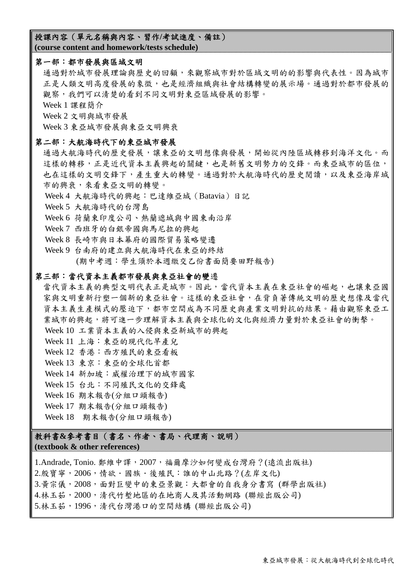#### 授課內容(單元名稱與內容、習作**/**考試進度、備註)

**(course content and homework/tests schedule)** 

#### 第一部:都市發展與區域文明

通過對於城市發展理論與歷史的回顧,來觀察城市對於區域文明的的影響與代表性。因為城市 正是人類文明高度發展的象徵,也是經濟組織與社會結構轉變的展示場。通過對於都市發展的 觀察,我們可以清楚的看到不同文明對東亞區域發展的影響。

Week 1 課程簡介

Week 2 文明與城市發展

Week 3 東亞城市發展與東亞文明興衰

#### 第二部:大航海時代下的東亞城市發展

通過大航海時代的歷史發展,讓東亞的文明想像與發展,開始從內陸區域轉移到海洋文化。而 這樣的轉移,正是好代資本主義興起的關鍵,也是新舊文明勢力的交鋒。而東亞城市的區位, 也在這樣的文明交鋒下,產生重大的轉變。通過對於大航海時代的歷史閱讀,以及東亞海岸城 市的興衰,來看東亞文明的轉變。

Week 4 大航海時代的興起:巴達維亞城(Batavia)日記

Week 5 大航海時代的台灣島

Week 6 荷蘭東印度公司、熱蘭遮城與中國東南沿岸

Week 7 西班牙的白銀帝國與馬尼拉的興起

Week 8 長崎市與日本幕府的國際貿易策略變遷

 Week 9 台南府的建立與大航海時代在東亞的終結 (期中考週:學生須於本週繳交乙份書面簡要田野報告)

#### 第三部:當代資本主義都市發展與東亞社會的變遷

當代資本主義的典型文明代表正是城市。因此,當代資本主義在東亞社會的崛起,也讓東亞國 家與文明重新行塑一個新的東亞社會。這樣的東亞社會,在背負著傳統文明的歷史想像及當代 資本主義生產模式的壓迫下,都市空間成為不同歷史與產業文明對抗的結果。藉由觀察東亞工 業城市的興起,將可進一步理解資本主義與全球化的文化與經濟力量對於東亞社會的衝擊。

- Week 10 工業資本主義的入侵與東亞新城市的興起
- Week 11 上海:東亞的現代化早產兒
- Week 12 香港:西方殖民的東亞看板
- Week 13 東京:東亞的全球化首都
- Week 14 新加坡:威權治理下的城市國家
- Week 15 台北:不同殖民文化的交鋒處
- Week 16 期末報告(分組口頭報告)
- Week 17 期末報告(分組口頭報告)

Week 18 期末報告(分組口頭報告)

### 教科書**&**參考書目(書名、作者、書局、代理商、說明)

#### **(textbook & other references)**

1.Andrade, Tonio. 鄭維中譯, 2007, 福爾摩沙如何變成台灣府?(遠流出版社) 2.殷寶寧, 2006, 情欲, 國族, 後殖民: 誰的中山北路?(左岸文化) 3.黃宗儀, 2008, 面對巨變中的東亞景觀: 大都會的自我身分書寫 (群學出版社) 4.林玉茹,2000,清代竹塹地區的在地商人及其活動網路 (聯經出版公司) 5.林玉茹,1996,清代台灣港口的空間結構 (聯經出版公司)